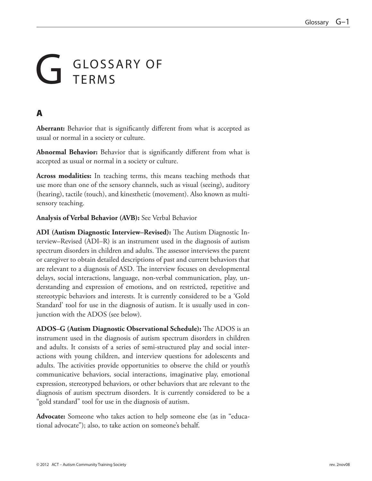# GLOSSARY OF TERMS

## A

**Aberrant:** Behavior that is significantly different from what is accepted as usual or normal in a society or culture.

**Abnormal Behavior:** Behavior that is significantly different from what is accepted as usual or normal in a society or culture.

**Across modalities:** In teaching terms, this means teaching methods that use more than one of the sensory channels, such as visual (seeing), auditory (hearing), tactile (touch), and kinesthetic (movement). Also known as multisensory teaching.

**Analysis of Verbal Behavior (AVB):** See Verbal Behavior

**ADI (Autism Diagnostic Interview–Revised):** The Autism Diagnostic Interview–Revised (ADI–R) is an instrument used in the diagnosis of autism spectrum disorders in children and adults. The assessor interviews the parent or caregiver to obtain detailed descriptions of past and current behaviors that are relevant to a diagnosis of ASD. The interview focuses on developmental delays, social interactions, language, non-verbal communication, play, understanding and expression of emotions, and on restricted, repetitive and stereotypic behaviors and interests. It is currently considered to be a 'Gold Standard' tool for use in the diagnosis of autism. It is usually used in conjunction with the ADOS (see below).

**ADOS–G (Autism Diagnostic Observational Schedule):** The ADOS is an instrument used in the diagnosis of autism spectrum disorders in children and adults. It consists of a series of semi-structured play and social interactions with young children, and interview questions for adolescents and adults. The activities provide opportunities to observe the child or youth's communicative behaviors, social interactions, imaginative play, emotional expression, stereotyped behaviors, or other behaviors that are relevant to the diagnosis of autism spectrum disorders. It is currently considered to be a "gold standard" tool for use in the diagnosis of autism.

**Advocate:** Someone who takes action to help someone else (as in "educational advocate"); also, to take action on someone's behalf.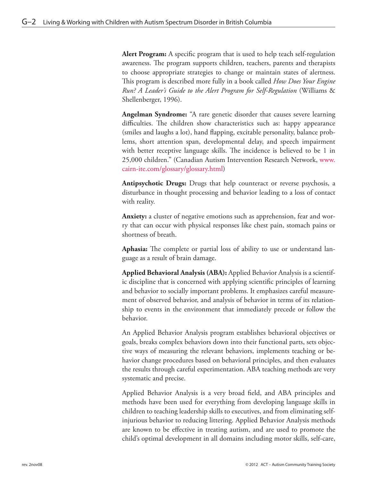**Alert Program:** A specific program that is used to help teach self-regulation awareness. The program supports children, teachers, parents and therapists to choose appropriate strategies to change or maintain states of alertness. This program is described more fully in a book called *How Does Your Engine Run? A Leader's Guide to the Alert Program for Self-Regulation* (Williams & Shellenberger, 1996).

**Angelman Syndrome:** "A rare genetic disorder that causes severe learning difficulties. The children show characteristics such as: happy appearance (smiles and laughs a lot), hand flapping, excitable personality, balance problems, short attention span, developmental delay, and speech impairment with better receptive language skills. The incidence is believed to be 1 in 25,000 children." (Canadian Autism Intervention Research Network, [www.](www.cairn-ite.com/glossary/glossary.html) [cairn-ite.com/glossary/glossary.html\)](www.cairn-ite.com/glossary/glossary.html)

**Antipsychotic Drugs:** Drugs that help counteract or reverse psychosis, a disturbance in thought processing and behavior leading to a loss of contact with reality.

**Anxiety:** a cluster of negative emotions such as apprehension, fear and worry that can occur with physical responses like chest pain, stomach pains or shortness of breath.

**Aphasia:** The complete or partial loss of ability to use or understand language as a result of brain damage.

**Applied Behavioral Analysis (ABA):** Applied Behavior Analysis is a scientific discipline that is concerned with applying scientific principles of learning and behavior to socially important problems. It emphasizes careful measurement of observed behavior, and analysis of behavior in terms of its relationship to events in the environment that immediately precede or follow the behavior.

An Applied Behavior Analysis program establishes behavioral objectives or goals, breaks complex behaviors down into their functional parts, sets objective ways of measuring the relevant behaviors, implements teaching or behavior change procedures based on behavioral principles, and then evaluates the results through careful experimentation. ABA teaching methods are very systematic and precise.

Applied Behavior Analysis is a very broad field, and ABA principles and methods have been used for everything from developing language skills in children to teaching leadership skills to executives, and from eliminating selfinjurious behavior to reducing littering. Applied Behavior Analysis methods are known to be effective in treating autism, and are used to promote the child's optimal development in all domains including motor skills, self-care,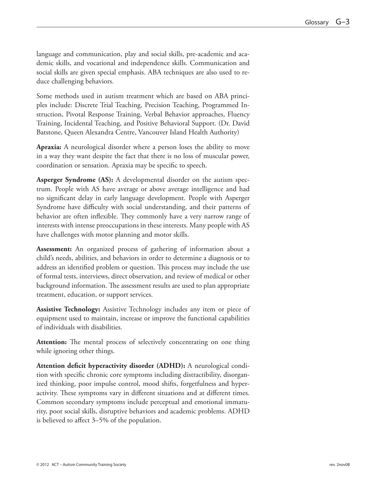language and communication, play and social skills, pre-academic and academic skills, and vocational and independence skills. Communication and social skills are given special emphasis. ABA techniques are also used to reduce challenging behaviors.

Some methods used in autism treatment which are based on ABA principles include: Discrete Trial Teaching, Precision Teaching, Programmed Instruction, Pivotal Response Training, Verbal Behavior approaches, Fluency Training, Incidental Teaching, and Positive Behavioral Support. (Dr. David Batstone, Queen Alexandra Centre, Vancouver Island Health Authority)

**Apraxia:** A neurological disorder where a person loses the ability to move in a way they want despite the fact that there is no loss of muscular power, coordination or sensation. Apraxia may be specific to speech.

**Asperger Syndrome (AS):** A developmental disorder on the autism spectrum. People with AS have average or above average intelligence and had no significant delay in early language development. People with Asperger Syndrome have difficulty with social understanding, and their patterns of behavior are often inflexible. They commonly have a very narrow range of interests with intense preoccupations in these interests. Many people with AS have challenges with motor planning and motor skills.

**Assessment:** An organized process of gathering of information about a child's needs, abilities, and behaviors in order to determine a diagnosis or to address an identified problem or question. This process may include the use of formal tests, interviews, direct observation, and review of medical or other background information. The assessment results are used to plan appropriate treatment, education, or support services.

**Assistive Technology:** Assistive Technology includes any item or piece of equipment used to maintain, increase or improve the functional capabilities of individuals with disabilities.

**Attention:** The mental process of selectively concentrating on one thing while ignoring other things.

**Attention deficit hyperactivity disorder (ADHD):** A neurological condition with specific chronic core symptoms including distractibility, disorganized thinking, poor impulse control, mood shifts, forgetfulness and hyperactivity. These symptoms vary in different situations and at different times. Common secondary symptoms include perceptual and emotional immaturity, poor social skills, disruptive behaviors and academic problems. ADHD is believed to affect 3–5% of the population.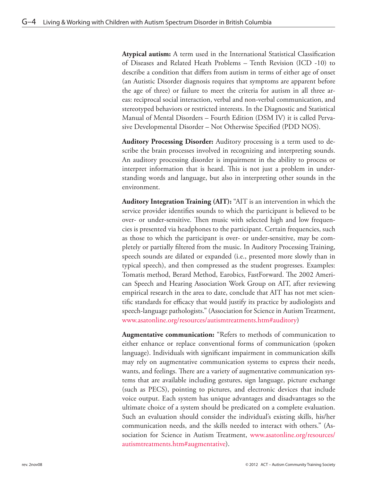**Atypical autism:** A term used in the International Statistical Classification of Diseases and Related Heath Problems – Tenth Revision (ICD -10) to describe a condition that differs from autism in terms of either age of onset (an Autistic Disorder diagnosis requires that symptoms are apparent before the age of three) or failure to meet the criteria for autism in all three areas: reciprocal social interaction, verbal and non-verbal communication, and stereotyped behaviors or restricted interests. In the Diagnostic and Statistical Manual of Mental Disorders – Fourth Edition (DSM IV) it is called Pervasive Developmental Disorder – Not Otherwise Specified (PDD NOS).

**Auditory Processing Disorder:** Auditory processing is a term used to describe the brain processes involved in recognizing and interpreting sounds. An auditory processing disorder is impairment in the ability to process or interpret information that is heard. This is not just a problem in understanding words and language, but also in interpreting other sounds in the environment.

**Auditory Integration Training (AIT):** "AIT is an intervention in which the service provider identifies sounds to which the participant is believed to be over- or under-sensitive. Then music with selected high and low frequencies is presented via headphones to the participant. Certain frequencies, such as those to which the participant is over- or under-sensitive, may be completely or partially filtered from the music. In Auditory Processing Training, speech sounds are dilated or expanded (i.e., presented more slowly than in typical speech), and then compressed as the student progresses. Examples: Tomatis method, Berard Method, Earobics, FastForward. The 2002 American Speech and Hearing Association Work Group on AIT, after reviewing empirical research in the area to date, conclude that AIT has not met scientific standards for efficacy that would justify its practice by audiologists and speech-language pathologists." (Association for Science in Autism Treatment, [www.asatonline.org/resources/autismtreatments.htm#auditory\)](www.asatonline.org/resources/autismtreatments.htm#auditory)

**Augmentative communication:** "Refers to methods of communication to either enhance or replace conventional forms of communication (spoken language). Individuals with significant impairment in communication skills may rely on augmentative communication systems to express their needs, wants, and feelings. There are a variety of augmentative communication systems that are available including gestures, sign language, picture exchange (such as PECS), pointing to pictures, and electronic devices that include voice output. Each system has unique advantages and disadvantages so the ultimate choice of a system should be predicated on a complete evaluation. Such an evaluation should consider the individual's existing skills, his/her communication needs, and the skills needed to interact with others." (Association for Science in Autism Treatment, [www.asatonline.org/resources/](www.asatonline.org/resources/autismtreatments.htm#augmentative) [autismtreatments.htm#augmentative](www.asatonline.org/resources/autismtreatments.htm#augmentative)).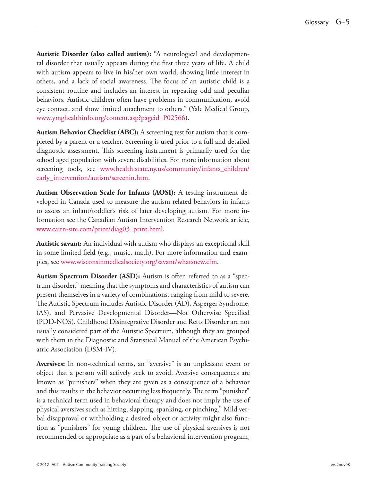**Autistic Disorder (also called autism):** "A neurological and developmental disorder that usually appears during the first three years of life. A child with autism appears to live in his/her own world, showing little interest in others, and a lack of social awareness. The focus of an autistic child is a consistent routine and includes an interest in repeating odd and peculiar behaviors. Autistic children often have problems in communication, avoid eye contact, and show limited attachment to others." (Yale Medical Group, [www.ymghealthinfo.org/content.asp?pageid=P02566\)](www.ymghealthinfo.org/content.asp?pageid=P02566).

**Autism Behavior Checklist (ABC):** A screening test for autism that is completed by a parent or a teacher. Screening is used prior to a full and detailed diagnostic assessment. This screening instrument is primarily used for the school aged population with severe disabilities. For more information about screening tools, see [www.health.state.ny.us/community/infants\\_children/](www.health.state.ny.us/community/infants_children/early_intervention/autism/screenin.htm) [early\\_intervention/autism/screenin.htm.](www.health.state.ny.us/community/infants_children/early_intervention/autism/screenin.htm)

**Autism Observation Scale for Infants (AOSI):** A testing instrument developed in Canada used to measure the autism-related behaviors in infants to assess an infant/toddler's risk of later developing autism. For more information see the Canadian Autism Intervention Research Network article, [www.cairn-site.com/print/diag03\\_print.html.](www.cairn-site.com/print/diag03_print.html)

**Autistic savant:** An individual with autism who displays an exceptional skill in some limited field (e.g., music, math). For more information and examples, see<www.wisconsinmedicalsociety.org/savant/whatsnew.cfm>.

**Autism Spectrum Disorder (ASD):** Autism is often referred to as a "spectrum disorder," meaning that the symptoms and characteristics of autism can present themselves in a variety of combinations, ranging from mild to severe. The Autistic Spectrum includes Autistic Disorder (AD), Asperger Syndrome, (AS), and Pervasive Developmental Disorder—Not Otherwise Specified (PDD-NOS). Childhood Disintegrative Disorder and Retts Disorder are not usually considered part of the Autistic Spectrum, although they are grouped with them in the Diagnostic and Statistical Manual of the American Psychiatric Association (DSM-IV).

**Aversives:** In non-technical terms, an "aversive" is an unpleasant event or object that a person will actively seek to avoid. Aversive consequences are known as "punishers" when they are given as a consequence of a behavior and this results in the behavior occurring less frequently. The term "punisher" is a technical term used in behavioral therapy and does not imply the use of physical aversives such as hitting, slapping, spanking, or pinching." Mild verbal disapproval or withholding a desired object or activity might also function as "punishers" for young children. The use of physical aversives is not recommended or appropriate as a part of a behavioral intervention program,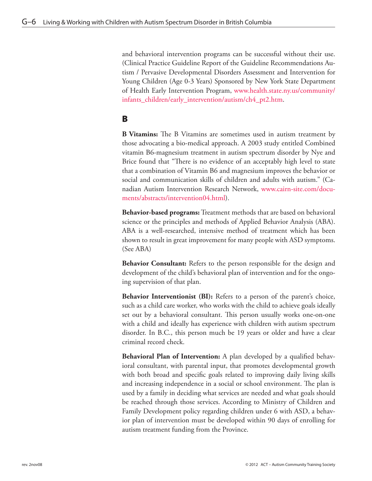and behavioral intervention programs can be successful without their use. (Clinical Practice Guideline Report of the Guideline Recommendations Autism / Pervasive Developmental Disorders Assessment and Intervention for Young Children (Age 0-3 Years) Sponsored by New York State Department of Health Early Intervention Program, [www.health.state.ny.us/community/](www.health.state.ny.us/community/infants_children/early_intervention/autism/ch4_pt2.htm) [infants\\_children/early\\_intervention/autism/ch4\\_pt2.htm](www.health.state.ny.us/community/infants_children/early_intervention/autism/ch4_pt2.htm).

#### B

**B Vitamins:** The B Vitamins are sometimes used in autism treatment by those advocating a bio-medical approach. A 2003 study entitled Combined vitamin B6-magnesium treatment in autism spectrum disorder by Nye and Brice found that "There is no evidence of an acceptably high level to state that a combination of Vitamin B6 and magnesium improves the behavior or social and communication skills of children and adults with autism." (Canadian Autism Intervention Research Network, [www.cairn-site.com/docu](www.cairn-site.com/documents/abstracts/intervention04.html)[ments/abstracts/intervention04.html\)](www.cairn-site.com/documents/abstracts/intervention04.html).

**Behavior-based programs:** Treatment methods that are based on behavioral science or the principles and methods of Applied Behavior Analysis (ABA). ABA is a well-researched, intensive method of treatment which has been shown to result in great improvement for many people with ASD symptoms. (See ABA)

**Behavior Consultant:** Refers to the person responsible for the design and development of the child's behavioral plan of intervention and for the ongoing supervision of that plan.

**Behavior Interventionist (BI):** Refers to a person of the parent's choice, such as a child care worker, who works with the child to achieve goals ideally set out by a behavioral consultant. This person usually works one-on-one with a child and ideally has experience with children with autism spectrum disorder. In B.C., this person much be 19 years or older and have a clear criminal record check.

**Behavioral Plan of Intervention:** A plan developed by a qualified behavioral consultant, with parental input, that promotes developmental growth with both broad and specific goals related to improving daily living skills and increasing independence in a social or school environment. The plan is used by a family in deciding what services are needed and what goals should be reached through those services. According to Ministry of Children and Family Development policy regarding children under 6 with ASD, a behavior plan of intervention must be developed within 90 days of enrolling for autism treatment funding from the Province.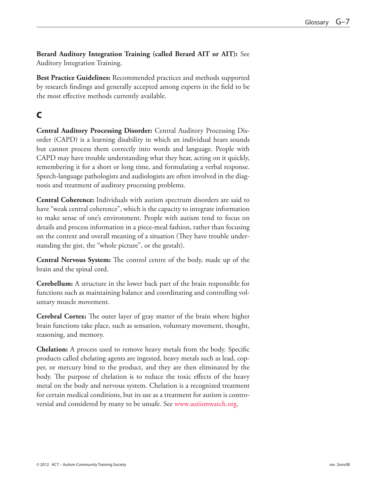**Berard Auditory Integration Training (called Berard AIT or AIT):** See Auditory Integration Training.

**Best Practice Guidelines:** Recommended practices and methods supported by research findings and generally accepted among experts in the field to be the most effective methods currently available.

# C

**Central Auditory Processing Disorder:** Central Auditory Processing Disorder (CAPD) is a learning disability in which an individual hears sounds but cannot process them correctly into words and language. People with CAPD may have trouble understanding what they hear, acting on it quickly, remembering it for a short or long time, and formulating a verbal response. Speech-language pathologists and audiologists are often involved in the diagnosis and treatment of auditory processing problems.

**Central Coherence:** Individuals with autism spectrum disorders are said to have "weak central coherence", which is the capacity to integrate information to make sense of one's environment. People with autism tend to focus on details and process information in a piece-meal fashion, rather than focusing on the context and overall meaning of a situation (They have trouble understanding the gist, the "whole picture", or the gestalt).

**Central Nervous System:** The control centre of the body, made up of the brain and the spinal cord.

**Cerebellum:** A structure in the lower back part of the brain responsible for functions such as maintaining balance and coordinating and controlling voluntary muscle movement.

**Cerebral Cortex:** The outer layer of gray matter of the brain where higher brain functions take place, such as sensation, voluntary movement, thought, reasoning, and memory.

**Chelation:** A process used to remove heavy metals from the body. Specific products called chelating agents are ingested, heavy metals such as lead, copper, or mercury bind to the product, and they are then eliminated by the body. The purpose of chelation is to reduce the toxic effects of the heavy metal on the body and nervous system. Chelation is a recognized treatment for certain medical conditions, but its use as a treatment for autism is controversial and considered by many to be unsafe. See [www.autismwatch.org.](www.autismwatch.org)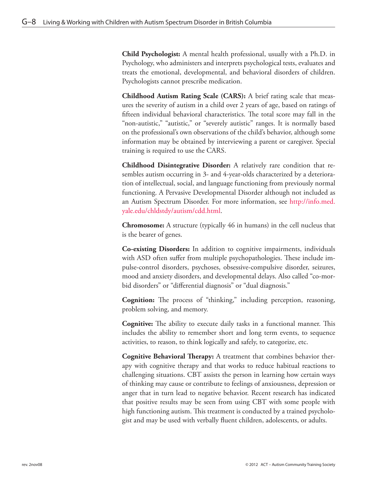**Child Psychologist:** A mental health professional, usually with a Ph.D. in Psychology, who administers and interprets psychological tests, evaluates and treats the emotional, developmental, and behavioral disorders of children. Psychologists cannot prescribe medication.

**Childhood Autism Rating Scale (CARS):** A brief rating scale that measures the severity of autism in a child over 2 years of age, based on ratings of fifteen individual behavioral characteristics. The total score may fall in the "non-autistic," "autistic," or "severely autistic" ranges. It is normally based on the professional's own observations of the child's behavior, although some information may be obtained by interviewing a parent or caregiver. Special training is required to use the CARS.

**Childhood Disintegrative Disorder:** A relatively rare condition that resembles autism occurring in 3- and 4-year-olds characterized by a deterioration of intellectual, social, and language functioning from previously normal functioning. A Pervasive Developmental Disorder although not included as an Autism Spectrum Disorder. For more information, see [http://info.med.](http://info.med.yale.edu/chldstdy/autism/cdd.html) [yale.edu/chldstdy/autism/cdd.html.](http://info.med.yale.edu/chldstdy/autism/cdd.html)

**Chromosome:** A structure (typically 46 in humans) in the cell nucleus that is the bearer of genes.

**Co-existing Disorders:** In addition to cognitive impairments, individuals with ASD often suffer from multiple psychopathologies. These include impulse-control disorders, psychoses, obsessive-compulsive disorder, seizures, mood and anxiety disorders, and developmental delays. Also called "co-morbid disorders" or "differential diagnosis" or "dual diagnosis."

**Cognition:** The process of "thinking," including perception, reasoning, problem solving, and memory.

**Cognitive:** The ability to execute daily tasks in a functional manner. This includes the ability to remember short and long term events, to sequence activities, to reason, to think logically and safely, to categorize, etc.

**Cognitive Behavioral Therapy:** A treatment that combines behavior therapy with cognitive therapy and that works to reduce habitual reactions to challenging situations. CBT assists the person in learning how certain ways of thinking may cause or contribute to feelings of anxiousness, depression or anger that in turn lead to negative behavior. Recent research has indicated that positive results may be seen from using CBT with some people with high functioning autism. This treatment is conducted by a trained psychologist and may be used with verbally fluent children, adolescents, or adults.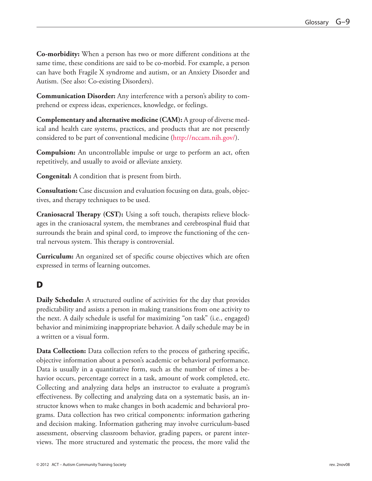**Co-morbidity:** When a person has two or more different conditions at the same time, these conditions are said to be co-morbid. For example, a person can have both Fragile X syndrome and autism, or an Anxiety Disorder and Autism. (See also: Co-existing Disorders).

**Communication Disorder:** Any interference with a person's ability to comprehend or express ideas, experiences, knowledge, or feelings.

**Complementary and alternative medicine (CAM):** A group of diverse medical and health care systems, practices, and products that are not presently considered to be part of conventional medicine (<http://nccam.nih.gov/>).

**Compulsion:** An uncontrollable impulse or urge to perform an act, often repetitively, and usually to avoid or alleviate anxiety.

**Congenital:** A condition that is present from birth.

**Consultation:** Case discussion and evaluation focusing on data, goals, objectives, and therapy techniques to be used.

**Craniosacral Therapy (CST):** Using a soft touch, therapists relieve blockages in the craniosacral system, the membranes and cerebrospinal fluid that surrounds the brain and spinal cord, to improve the functioning of the central nervous system. This therapy is controversial.

**Curriculum:** An organized set of specific course objectives which are often expressed in terms of learning outcomes.

## D

**Daily Schedule:** A structured outline of activities for the day that provides predictability and assists a person in making transitions from one activity to the next. A daily schedule is useful for maximizing "on task" (i.e., engaged) behavior and minimizing inappropriate behavior. A daily schedule may be in a written or a visual form.

**Data Collection:** Data collection refers to the process of gathering specific, objective information about a person's academic or behavioral performance. Data is usually in a quantitative form, such as the number of times a behavior occurs, percentage correct in a task, amount of work completed, etc. Collecting and analyzing data helps an instructor to evaluate a program's effectiveness. By collecting and analyzing data on a systematic basis, an instructor knows when to make changes in both academic and behavioral programs. Data collection has two critical components: information gathering and decision making. Information gathering may involve curriculum-based assessment, observing classroom behavior, grading papers, or parent interviews. The more structured and systematic the process, the more valid the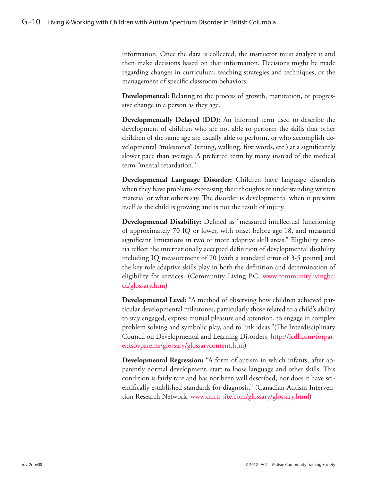information. Once the data is collected, the instructor must analyze it and then make decisions based on that information. Decisions might be made regarding changes in curriculum, teaching strategies and techniques, or the management of specific classroom behaviors.

**Developmental:** Relating to the process of growth, maturation, or progressive change in a person as they age.

**Developmentally Delayed (DD):** An informal term used to describe the development of children who are not able to perform the skills that other children of the same age are usually able to perform, or who accomplish developmental "milestones" (sitting, walking, first words, etc.) at a significantly slower pace than average. A preferred term by many instead of the medical term "mental retardation."

**Developmental Language Disorder:** Children have language disorders when they have problems expressing their thoughts or understanding written material or what others say. The disorder is developmental when it presents itself as the child is growing and is not the result of injury.

**Developmental Disability:** Defined as "measured intellectual functioning of approximately 70 IQ or lower, with onset before age 18, and measured significant limitations in two or more adaptive skill areas." Eligibility criteria reflect the internationally accepted definition of developmental disability including IQ measurement of 70 [with a standard error of 3-5 points] and the key role adaptive skills play in both the definition and determination of eligibility for services. (Community Living BC, [www.communitylivingbc.](www.communitylivingbc.ca/glossary.htm) [ca/glossary.htm](www.communitylivingbc.ca/glossary.htm))

**Developmental Level:** "A method of observing how children achieved particular developmental milestones, particularly those related to a child's ability to stay engaged, express mutual pleasure and attention, to engage in complex problem solving and symbolic play, and to link ideas."(The Interdisciplinary Council on Developmental and Learning Disorders, [http://icdl.com/forpar](http://icdl.com/forparentsbyparents/glossary/glossarycontent.htm)[entsbyparents/glossary/glossarycontent.htm\)](http://icdl.com/forparentsbyparents/glossary/glossarycontent.htm)

**Developmental Regression:** "A form of autism in which infants, after apparently normal development, start to loose language and other skills. This condition is fairly rare and has not been well described, nor does it have scientifically established standards for diagnosis." (Canadian Autism Intervention Research Network, www.cairn-site.com/glossary/glossary.html)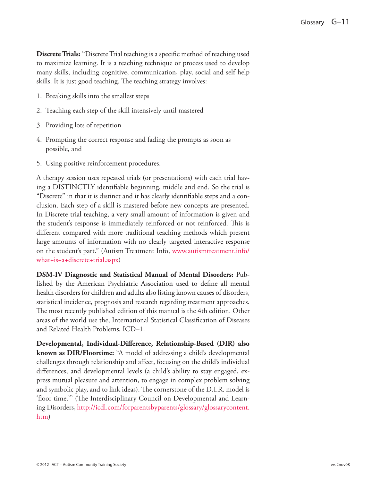**Discrete Trials:** "Discrete Trial teaching is a specific method of teaching used to maximize learning. It is a teaching technique or process used to develop many skills, including cognitive, communication, play, social and self help skills. It is just good teaching. The teaching strategy involves:

- 1. Breaking skills into the smallest steps
- 2. Teaching each step of the skill intensively until mastered
- 3. Providing lots of repetition
- 4. Prompting the correct response and fading the prompts as soon as possible, and
- 5. Using positive reinforcement procedures.

A therapy session uses repeated trials (or presentations) with each trial having a DISTINCTLY identifiable beginning, middle and end. So the trial is "Discrete" in that it is distinct and it has clearly identifiable steps and a conclusion. Each step of a skill is mastered before new concepts are presented. In Discrete trial teaching, a very small amount of information is given and the student's response is immediately reinforced or not reinforced. This is different compared with more traditional teaching methods which present large amounts of information with no clearly targeted interactive response on the student's part." (Autism Treatment Info, [www.autismtreatment.info/](www.autismtreatment.info/what+is+a+discrete+trial.aspx) [what+is+a+discrete+trial.aspx\)](www.autismtreatment.info/what+is+a+discrete+trial.aspx)

**DSM-IV Diagnostic and Statistical Manual of Mental Disorders:** Published by the American Psychiatric Association used to define all mental health disorders for children and adults also listing known causes of disorders, statistical incidence, prognosis and research regarding treatment approaches. The most recently published edition of this manual is the 4th edition. Other areas of the world use the, International Statistical Classification of Diseases and Related Health Problems, ICD–1.

**Developmental, Individual-Difference, Relationship-Based (DIR) also known as DIR/Floortime:** "A model of addressing a child's developmental challenges through relationship and affect, focusing on the child's individual differences, and developmental levels (a child's ability to stay engaged, express mutual pleasure and attention, to engage in complex problem solving and symbolic play, and to link ideas). The cornerstone of the D.I.R. model is 'floor time.'" (The Interdisciplinary Council on Developmental and Learning Disorders, [http://icdl.com/forparentsbyparents/glossary/glossarycontent.](http://icdl.com/forparentsbyparents/glossary/glossarycontent.htm) [htm](http://icdl.com/forparentsbyparents/glossary/glossarycontent.htm))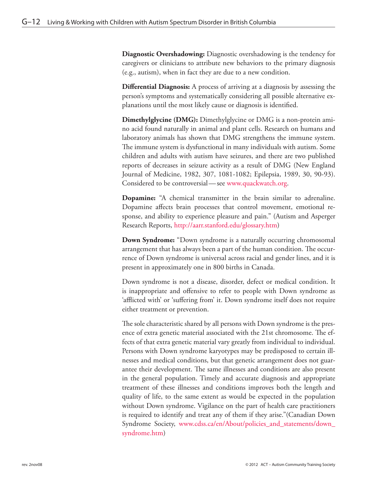**Diagnostic Overshadowing:** Diagnostic overshadowing is the tendency for caregivers or clinicians to attribute new behaviors to the primary diagnosis (e.g., autism), when in fact they are due to a new condition.

**Differential Diagnosis:** A process of arriving at a diagnosis by assessing the person's symptoms and systematically considering all possible alternative explanations until the most likely cause or diagnosis is identified.

**Dimethylglycine (DMG):** Dimethylglycine or DMG is a non-protein amino acid found naturally in animal and plant cells. Research on humans and laboratory animals has shown that DMG strengthens the immune system. The immune system is dysfunctional in many individuals with autism. Some children and adults with autism have seizures, and there are two published reports of decreases in seizure activity as a result of DMG (New England Journal of Medicine, 1982, 307, 1081-1082; Epilepsia, 1989, 30, 90-93). Considered to be controversial—see<www.quackwatch.org>.

**Dopamine:** "A chemical transmitter in the brain similar to adrenaline. Dopamine affects brain processes that control movement, emotional response, and ability to experience pleasure and pain." (Autism and Asperger Research Reports, <http://aarr.stanford.edu/glossary.htm>)

**Down Syndrome:** "Down syndrome is a naturally occurring chromosomal arrangement that has always been a part of the human condition. The occurrence of Down syndrome is universal across racial and gender lines, and it is present in approximately one in 800 births in Canada.

Down syndrome is not a disease, disorder, defect or medical condition. It is inappropriate and offensive to refer to people with Down syndrome as 'afflicted with' or 'suffering from' it. Down syndrome itself does not require either treatment or prevention.

The sole characteristic shared by all persons with Down syndrome is the presence of extra genetic material associated with the 21st chromosome. The effects of that extra genetic material vary greatly from individual to individual. Persons with Down syndrome karyotypes may be predisposed to certain illnesses and medical conditions, but that genetic arrangement does not guarantee their development. The same illnesses and conditions are also present in the general population. Timely and accurate diagnosis and appropriate treatment of these illnesses and conditions improves both the length and quality of life, to the same extent as would be expected in the population without Down syndrome. Vigilance on the part of health care practitioners is required to identify and treat any of them if they arise."(Canadian Down Syndrome Society, [www.cdss.ca/en/About/policies\\_and\\_statements/down\\_](www.cdss.ca/en/About/policies_and_statements/down_syndrome.htm) [syndrome.htm\)](www.cdss.ca/en/About/policies_and_statements/down_syndrome.htm)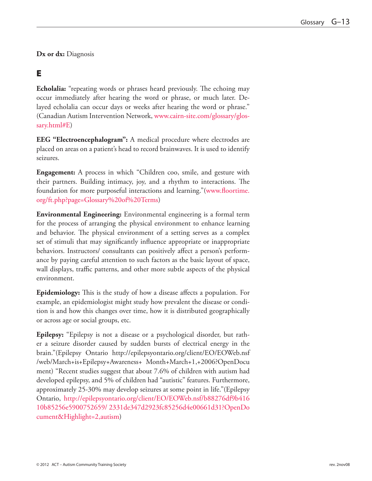**Dx or dx:** Diagnosis

#### E

**Echolalia:** "repeating words or phrases heard previously. The echoing may occur immediately after hearing the word or phrase, or much later. Delayed echolalia can occur days or weeks after hearing the word or phrase." (Canadian Autism Intervention Network, [www.cairn-site.com/glossary/glos](www.cairn-site.com/glossary/glossary.html#E)[sary.html#E](www.cairn-site.com/glossary/glossary.html#E))

**EEG "Electroencephalogram":** A medical procedure where electrodes are placed on areas on a patient's head to record brainwaves. It is used to identify seizures.

**Engagement:** A process in which "Children coo, smile, and gesture with their partners. Building intimacy, joy, and a rhythm to interactions. The foundation for more purposeful interactions and learning."[\(www.floortime.](www.floortime.org/ft.php?page=Glossary%20of%20Terms) [org/ft.php?page=Glossary%20of%20Terms](www.floortime.org/ft.php?page=Glossary%20of%20Terms))

**Environmental Engineering:** Environmental engineering is a formal term for the process of arranging the physical environment to enhance learning and behavior. The physical environment of a setting serves as a complex set of stimuli that may significantly influence appropriate or inappropriate behaviors. Instructors/ consultants can positively affect a person's performance by paying careful attention to such factors as the basic layout of space, wall displays, traffic patterns, and other more subtle aspects of the physical environment.

**Epidemiology:** This is the study of how a disease affects a population. For example, an epidemiologist might study how prevalent the disease or condition is and how this changes over time, how it is distributed geographically or across age or social groups, etc.

**Epilepsy:** "Epilepsy is not a disease or a psychological disorder, but rather a seizure disorder caused by sudden bursts of electrical energy in the brain."(Epilepsy Ontario http://epilepsyontario.org/client/EO/EOWeb.nsf /web/March+is+Epilepsy+Awareness+ Month+March+1,+2006?OpenDocu ment) "Recent studies suggest that about 7.6% of children with autism had developed epilepsy, and 5% of children had "autistic" features. Furthermore, approximately 25-30% may develop seizures at some point in life."(Epilepsy Ontario, [http://epilepsyontario.org/client/EO/EOWeb.nsf/b88276df9b416](http://epilepsyontario.org/client/EO/EOWeb.nsf/b88276df9b41610b85256e5900752659/ 2331de347d2923fc85256d4e00661d31?OpenDocument&Highlight=2,autism) [10b85256e5900752659/ 2331de347d2923fc85256d4e00661d31?OpenDo](http://epilepsyontario.org/client/EO/EOWeb.nsf/b88276df9b41610b85256e5900752659/ 2331de347d2923fc85256d4e00661d31?OpenDocument&Highlight=2,autism) [cument&Highlight=2,autism](http://epilepsyontario.org/client/EO/EOWeb.nsf/b88276df9b41610b85256e5900752659/ 2331de347d2923fc85256d4e00661d31?OpenDocument&Highlight=2,autism))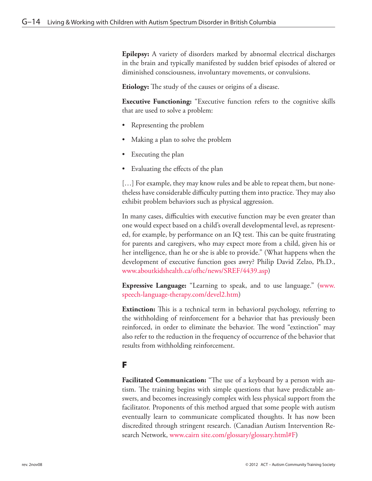**Epilepsy:** A variety of disorders marked by abnormal electrical discharges in the brain and typically manifested by sudden brief episodes of altered or diminished consciousness, involuntary movements, or convulsions.

**Etiology:** The study of the causes or origins of a disease.

**Executive Functioning:** "Executive function refers to the cognitive skills that are used to solve a problem:

- Representing the problem
- Making a plan to solve the problem
- Executing the plan
- Evaluating the effects of the plan

[…] For example, they may know rules and be able to repeat them, but nonetheless have considerable difficulty putting them into practice. They may also exhibit problem behaviors such as physical aggression.

In many cases, difficulties with executive function may be even greater than one would expect based on a child's overall developmental level, as represented, for example, by performance on an IQ test. This can be quite frustrating for parents and caregivers, who may expect more from a child, given his or her intelligence, than he or she is able to provide." (What happens when the development of executive function goes awry? Philip David Zelzo, Ph.D., <www.aboutkidshealth.ca/ofhc/news/SREF/4439.asp>)

**Expressive Language:** "Learning to speak, and to use language." [\(www.](www.speech-language-therapy.com/devel2.htm) [speech-language-therapy.com/devel2.htm](www.speech-language-therapy.com/devel2.htm))

**Extinction:** This is a technical term in behavioral psychology, referring to the withholding of reinforcement for a behavior that has previously been reinforced, in order to eliminate the behavior. The word "extinction" may also refer to the reduction in the frequency of occurrence of the behavior that results from withholding reinforcement.

#### F

**Facilitated Communication:** "The use of a keyboard by a person with autism. The training begins with simple questions that have predictable answers, and becomes increasingly complex with less physical support from the facilitator. Proponents of this method argued that some people with autism eventually learn to communicate complicated thoughts. It has now been discredited through stringent research. (Canadian Autism Intervention Research Network, [www.cairn site.com/glossary/glossary.html#F\)](www.cairn site.com/glossary/glossary.html#F)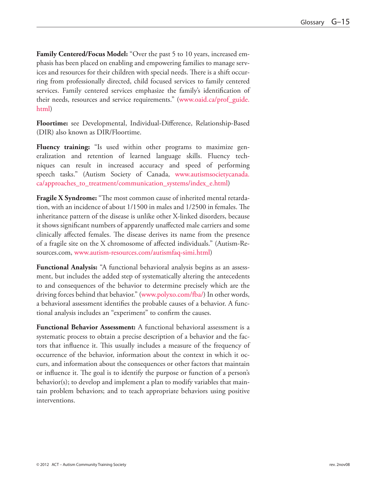**Family Centered/Focus Model:** "Over the past 5 to 10 years, increased emphasis has been placed on enabling and empowering families to manage services and resources for their children with special needs. There is a shift occurring from professionally directed, child focused services to family centered services. Family centered services emphasize the family's identification of their needs, resources and service requirements." ([www.oaid.ca/prof\\_guide.](www.oaid.ca/prof_guide.html) [html](www.oaid.ca/prof_guide.html))

**Floortime:** see Developmental, Individual-Difference, Relationship-Based (DIR) also known as DIR/Floortime.

**Fluency training:** "Is used within other programs to maximize generalization and retention of learned language skills. Fluency techniques can result in increased accuracy and speed of performing speech tasks." (Autism Society of Canada, [www.autismsocietycanada.](www.autismsocietycanada.ca/approaches_to_treatment/communication_systems/index_e.html) [ca/approaches\\_to\\_treatment/communication\\_systems/index\\_e.html\)](www.autismsocietycanada.ca/approaches_to_treatment/communication_systems/index_e.html)

**Fragile X Syndrome:** "The most common cause of inherited mental retardation, with an incidence of about 1/1500 in males and 1/2500 in females. The inheritance pattern of the disease is unlike other X-linked disorders, because it shows significant numbers of apparently unaffected male carriers and some clinically affected females. The disease derives its name from the presence of a fragile site on the X chromosome of affected individuals." (Autism-Resources.com, [www.autism-resources.com/autismfaq-simi.html\)](www.autism-resources.com/autismfaq-simi.html)

**Functional Analysis:** "A functional behavioral analysis begins as an assessment, but includes the added step of systematically altering the antecedents to and consequences of the behavior to determine precisely which are the driving forces behind that behavior." ([www.polyxo.com/fba/\)](www.polyxo.com/fba/) In other words, a behavioral assessment identifies the probable causes of a behavior. A functional analysis includes an "experiment" to confirm the causes.

**Functional Behavior Assessment:** A functional behavioral assessment is a systematic process to obtain a precise description of a behavior and the factors that influence it. This usually includes a measure of the frequency of occurrence of the behavior, information about the context in which it occurs, and information about the consequences or other factors that maintain or influence it. The goal is to identify the purpose or function of a person's behavior(s); to develop and implement a plan to modify variables that maintain problem behaviors; and to teach appropriate behaviors using positive interventions.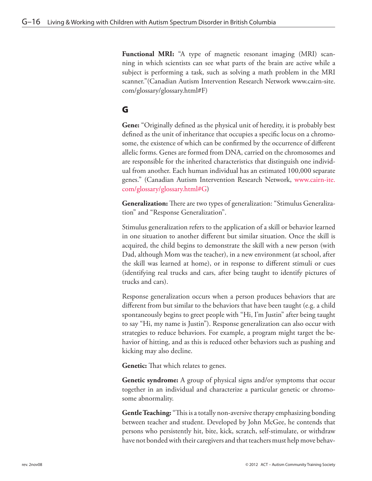**Functional MRI:** "A type of magnetic resonant imaging (MRI) scanning in which scientists can see what parts of the brain are active while a subject is performing a task, such as solving a math problem in the MRI scanner."(Canadian Autism Intervention Research Network www.cairn-site. com/glossary/glossary.html#F)

## G

**Gene:** "Originally defined as the physical unit of heredity, it is probably best defined as the unit of inheritance that occupies a specific locus on a chromosome, the existence of which can be confirmed by the occurrence of different allelic forms. Genes are formed from DNA, carried on the chromosomes and are responsible for the inherited characteristics that distinguish one individual from another. Each human individual has an estimated 100,000 separate genes." (Canadian Autism Intervention Research Network, [www.cairn-ite.](www.cairn-ite.com/glossary/glossary.html#G) [com/glossary/glossary.html#G\)](www.cairn-ite.com/glossary/glossary.html#G)

**Generalization:** There are two types of generalization: "Stimulus Generalization" and "Response Generalization".

Stimulus generalization refers to the application of a skill or behavior learned in one situation to another different but similar situation. Once the skill is acquired, the child begins to demonstrate the skill with a new person (with Dad, although Mom was the teacher), in a new environment (at school, after the skill was learned at home), or in response to different stimuli or cues (identifying real trucks and cars, after being taught to identify pictures of trucks and cars).

Response generalization occurs when a person produces behaviors that are different from but similar to the behaviors that have been taught (e.g. a child spontaneously begins to greet people with "Hi, I'm Justin" after being taught to say "Hi, my name is Justin"). Response generalization can also occur with strategies to reduce behaviors. For example, a program might target the behavior of hitting, and as this is reduced other behaviors such as pushing and kicking may also decline.

**Genetic:** That which relates to genes.

**Genetic syndrome:** A group of physical signs and/or symptoms that occur together in an individual and characterize a particular genetic or chromosome abnormality.

**Gentle Teaching:** "This is a totally non-aversive therapy emphasizing bonding between teacher and student. Developed by John McGee, he contends that persons who persistently hit, bite, kick, scratch, self-stimulate, or withdraw have not bonded with their caregivers and that teachers must help move behav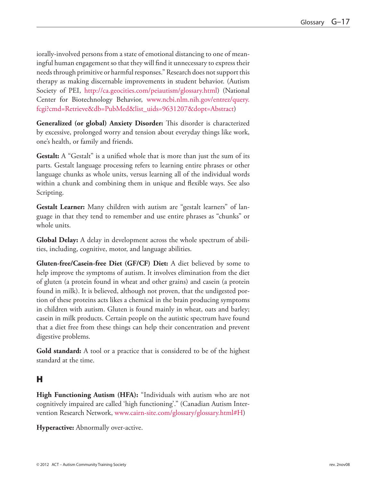iorally-involved persons from a state of emotional distancing to one of meaningful human engagement so that they will find it unnecessary to express their needs through primitive or harmful responses." Research does not support this therapy as making discernable improvements in student behavior. (Autism Society of PEI, <http://ca.geocities.com/peiautism/glossary.html>) (National Center for Biotechnology Behavior, [www.ncbi.nlm.nih.gov/entrez/query.](www.ncbi.nlm.nih.gov/entrez/query.fcgi?cmd=Retrieve&db=PubMed&list_uids=9631207&dopt=Abstract) [fcgi?cmd=Retrieve&db=PubMed&list\\_uids=9631207&dopt=Abstract\)](www.ncbi.nlm.nih.gov/entrez/query.fcgi?cmd=Retrieve&db=PubMed&list_uids=9631207&dopt=Abstract)

**Generalized (or global) Anxiety Disorder:** This disorder is characterized by excessive, prolonged worry and tension about everyday things like work, one's health, or family and friends.

**Gestalt:** A "Gestalt" is a unified whole that is more than just the sum of its parts. Gestalt language processing refers to learning entire phrases or other language chunks as whole units, versus learning all of the individual words within a chunk and combining them in unique and flexible ways. See also Scripting.

**Gestalt Learner:** Many children with autism are "gestalt learners" of language in that they tend to remember and use entire phrases as "chunks" or whole units.

**Global Delay:** A delay in development across the whole spectrum of abilities, including, cognitive, motor, and language abilities.

**Gluten-free/Casein-free Diet (GF/CF) Diet:** A diet believed by some to help improve the symptoms of autism. It involves elimination from the diet of gluten (a protein found in wheat and other grains) and casein (a protein found in milk). It is believed, although not proven, that the undigested portion of these proteins acts likes a chemical in the brain producing symptoms in children with autism. Gluten is found mainly in wheat, oats and barley; casein in milk products. Certain people on the autistic spectrum have found that a diet free from these things can help their concentration and prevent digestive problems.

**Gold standard:** A tool or a practice that is considered to be of the highest standard at the time.

## H

**High Functioning Autism (HFA):** "Individuals with autism who are not cognitively impaired are called 'high functioning'." (Canadian Autism Intervention Research Network, <www.cairn-site.com/glossary/glossary.html#H>)

**Hyperactive:** Abnormally over-active.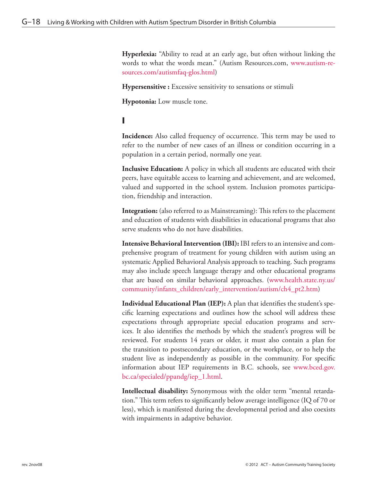**Hyperlexia:** "Ability to read at an early age, but often without linking the words to what the words mean." (Autism Resources.com, [www.autism-re](www.autism-resources.com/autismfaq-glos.html)[sources.com/autismfaq-glos.html\)](www.autism-resources.com/autismfaq-glos.html)

**Hypersensitive :** Excessive sensitivity to sensations or stimuli

**Hypotonia:** Low muscle tone.

#### I

**Incidence:** Also called frequency of occurrence. This term may be used to refer to the number of new cases of an illness or condition occurring in a population in a certain period, normally one year.

**Inclusive Education:** A policy in which all students are educated with their peers, have equitable access to learning and achievement, and are welcomed, valued and supported in the school system. Inclusion promotes participation, friendship and interaction.

**Integration:** (also referred to as Mainstreaming): This refers to the placement and education of students with disabilities in educational programs that also serve students who do not have disabilities.

**Intensive Behavioral Intervention (IBI):** IBI refers to an intensive and comprehensive program of treatment for young children with autism using an systematic Applied Behavioral Analysis approach to teaching. Such programs may also include speech language therapy and other educational programs that are based on similar behavioral approaches. [\(www.health.state.ny.us/](www.health.state.ny.us/community/infants_children/early_intervention/autism/ch4_pt2.htm) [community/infants\\_children/early\\_intervention/autism/ch4\\_pt2.htm](www.health.state.ny.us/community/infants_children/early_intervention/autism/ch4_pt2.htm))

**Individual Educational Plan (IEP):** A plan that identifies the student's specific learning expectations and outlines how the school will address these expectations through appropriate special education programs and services. It also identifies the methods by which the student's progress will be reviewed. For students 14 years or older, it must also contain a plan for the transition to postsecondary education, or the workplace, or to help the student live as independently as possible in the community. For specific information about IEP requirements in B.C. schools, see [www.bced.gov.](www.bced.gov.bc.ca/specialed/ppandg/iep_1.html) [bc.ca/specialed/ppandg/iep\\_1.html](www.bced.gov.bc.ca/specialed/ppandg/iep_1.html).

**Intellectual disability:** Synonymous with the older term "mental retardation." This term refers to significantly below average intelligence (IQ of 70 or less), which is manifested during the developmental period and also coexists with impairments in adaptive behavior.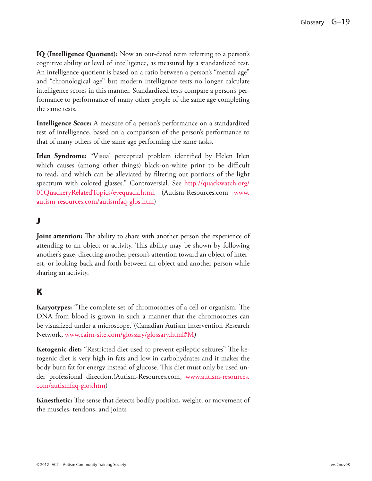**IQ (Intelligence Quotient):** Now an out-dated term referring to a person's cognitive ability or level of intelligence, as measured by a standardized test. An intelligence quotient is based on a ratio between a person's "mental age" and "chronological age" but modern intelligence tests no longer calculate intelligence scores in this manner. Standardized tests compare a person's performance to performance of many other people of the same age completing the same tests.

**Intelligence Score:** A measure of a person's performance on a standardized test of intelligence, based on a comparison of the person's performance to that of many others of the same age performing the same tasks.

**Irlen Syndrome:** "Visual perceptual problem identified by Helen Irlen which causes (among other things) black-on-white print to be difficult to read, and which can be alleviated by filtering out portions of the light spectrum with colored glasses." Controversial. See [http://quackwatch.org/](http://quackwatch.org/01QuackeryRelatedTopics/eyequack.html) [01QuackeryRelatedTopics/eyequack.html.](http://quackwatch.org/01QuackeryRelatedTopics/eyequack.html) (Autism-Resources.com [www.](www.autism-resources.com/autismfaq-glos.htm) [autism-resources.com/autismfaq-glos.htm](www.autism-resources.com/autismfaq-glos.htm))

## J

**Joint attention:** The ability to share with another person the experience of attending to an object or activity. This ability may be shown by following another's gaze, directing another person's attention toward an object of interest, or looking back and forth between an object and another person while sharing an activity.

## K

**Karyotypes:** "The complete set of chromosomes of a cell or organism. The DNA from blood is grown in such a manner that the chromosomes can be visualized under a microscope."(Canadian Autism Intervention Research Network, [www.cairn-site.com/glossary/glossary.html#M\)](www.cairn-site.com/glossary/glossary.html#M)

**Ketogenic diet:** "Restricted diet used to prevent epileptic seizures" The ketogenic diet is very high in fats and low in carbohydrates and it makes the body burn fat for energy instead of glucose. This diet must only be used under professional direction.(Autism-Resources.com, [www.autism-resources.](www.autism-resources.com/autismfaq-glos.htm) [com/autismfaq-glos.htm\)](www.autism-resources.com/autismfaq-glos.htm)

**Kinesthetic:** The sense that detects bodily position, weight, or movement of the muscles, tendons, and joints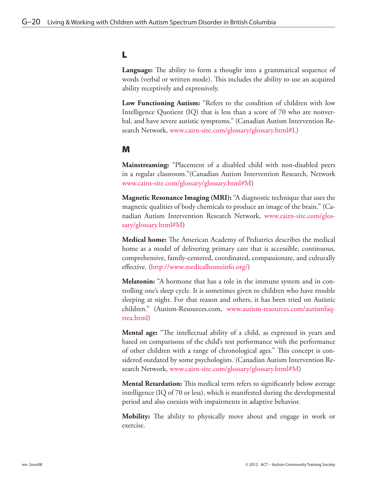#### L

**Language:** The ability to form a thought into a grammatical sequence of words (verbal or written mode). This includes the ability to use an acquired ability receptively and expressively.

Low Functioning Autism: "Refers to the condition of children with low Intelligence Quotient (IQ) that is less than a score of 70 who are nonverbal, and have severe autistic symptoms." (Canadian Autism Intervention Research Network, [www.cairn-site.com/glossary/glossary.html#L\)](www.cairn-site.com/glossary/glossary.html#L)

#### M

**Mainstreaming:** "Placement of a disabled child with non-disabled peers in a regular classroom."(Canadian Autism Intervention Research, Network www.cairn-site.com/glossary/glossary.html#M)

**Magnetic Resonance Imaging (MRI):** "A diagnostic technique that uses the magnetic qualities of body chemicals to produce an image of the brain." (Canadian Autism Intervention Research Network, [www.cairn-site.com/glos](www.cairn-site.com/glossary/glossary.html#M)[sary/glossary.html#M\)](www.cairn-site.com/glossary/glossary.html#M)

**Medical home:** The American Academy of Pediatrics describes the medical home as a model of delivering primary care that is accessible, continuous, comprehensive, family-centered, coordinated, compassionate, and culturally effective. [\(http://www.medicalhomeinfo.org/\)](http://www.medicalhomeinfo.org/)

**Melatonin:** "A hormone that has a role in the immune system and in controlling one's sleep cycle. It is sometimes given to children who have trouble sleeping at night. For that reason and others, it has been tried on Autistic children." (Autism-Resources.com, [www.autism-resources.com/autismfaq](www.autism-resources.com/autismfaq-trea.html)[trea.html](www.autism-resources.com/autismfaq-trea.html))

**Mental age:** "The intellectual ability of a child, as expressed in years and based on comparisons of the child's test performance with the performance of other children with a range of chronological ages." This concept is considered outdated by some psychologists. (Canadian Autism Intervention Research Network, www.cairn-site.com/glossary/glossary.html#M)

**Mental Retardation:** This medical term refers to significantly below average intelligence (IQ of 70 or less), which is manifested during the developmental period and also coexists with impairments in adaptive behavior.

**Mobility:** The ability to physically move about and engage in work or exercise.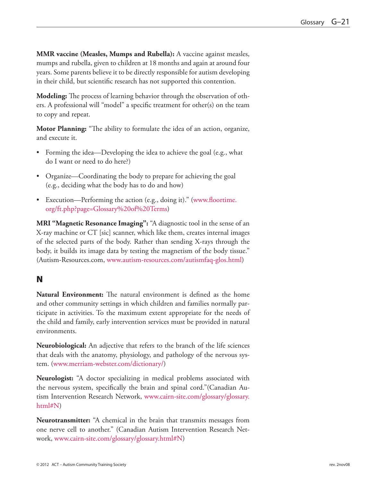**MMR vaccine (Measles, Mumps and Rubella):** A vaccine against measles, mumps and rubella, given to children at 18 months and again at around four years. Some parents believe it to be directly responsible for autism developing in their child, but scientific research has not supported this contention.

**Modeling:** The process of learning behavior through the observation of others. A professional will "model" a specific treatment for other(s) on the team to copy and repeat.

**Motor Planning:** "The ability to formulate the idea of an action, organize, and execute it.

- Forming the idea—Developing the idea to achieve the goal (e.g., what do I want or need to do here?)
- Organize—Coordinating the body to prepare for achieving the goal (e.g., deciding what the body has to do and how)
- Execution—Performing the action (e.g., doing it)." [\(www.floortime.](www.floortime.org/ft.php?page=Glossary%20of%20Terms) [org/ft.php?page=Glossary%20of%20Terms](www.floortime.org/ft.php?page=Glossary%20of%20Terms))

**MRI "Magnetic Resonance Imaging":** "A diagnostic tool in the sense of an X-ray machine or CT [sic] scanner, which like them, creates internal images of the selected parts of the body. Rather than sending X-rays through the body, it builds its image data by testing the magnetism of the body tissue." (Autism-Resources.com, [www.autism-resources.com/autismfaq-glos.html\)](www.autism-resources.com/autismfaq-glos.html)

## N

**Natural Environment:** The natural environment is defined as the home and other community settings in which children and families normally participate in activities. To the maximum extent appropriate for the needs of the child and family, early intervention services must be provided in natural environments.

**Neurobiological:** An adjective that refers to the branch of the life sciences that deals with the anatomy, physiology, and pathology of the nervous system. (<www.merriam-webster.com/dictionary/>)

**Neurologist:** "A doctor specializing in medical problems associated with the nervous system, specifically the brain and spinal cord."(Canadian Autism Intervention Research Network, [www.cairn-site.com/glossary/glossary.](www.cairn-site.com/glossary/glossary.html#N) [html#N\)](www.cairn-site.com/glossary/glossary.html#N)

**Neurotransmitter:** "A chemical in the brain that transmits messages from one nerve cell to another." (Canadian Autism Intervention Research Network, www.cairn-site.com/glossary/glossary.html#N)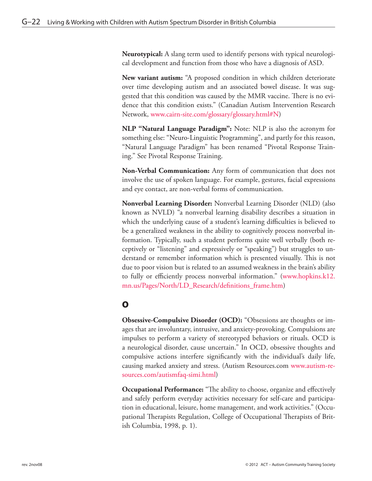**Neurotypical:** A slang term used to identify persons with typical neurological development and function from those who have a diagnosis of ASD.

**New variant autism:** "A proposed condition in which children deteriorate over time developing autism and an associated bowel disease. It was suggested that this condition was caused by the MMR vaccine. There is no evidence that this condition exists." (Canadian Autism Intervention Research Network, www.cairn-site.com/glossary/glossary.html#N)

**NLP "Natural Language Paradigm":** Note: NLP is also the acronym for something else: "Neuro-Linguistic Programming", and partly for this reason, "Natural Language Paradigm" has been renamed "Pivotal Response Training." See Pivotal Response Training.

**Non-Verbal Communication:** Any form of communication that does not involve the use of spoken language. For example, gestures, facial expressions and eye contact, are non-verbal forms of communication.

**Nonverbal Learning Disorder:** Nonverbal Learning Disorder (NLD) (also known as NVLD) "a nonverbal learning disability describes a situation in which the underlying cause of a student's learning difficulties is believed to be a generalized weakness in the ability to cognitively process nonverbal information. Typically, such a student performs quite well verbally (both receptively or "listening" and expressively or "speaking") but struggles to understand or remember information which is presented visually. This is not due to poor vision but is related to an assumed weakness in the brain's ability to fully or efficiently process nonverbal information." [\(www.hopkins.k12.](www.hopkins.k12.mn.us/Pages/North/LD_Research/definitions_frame.htm) [mn.us/Pages/North/LD\\_Research/definitions\\_frame.htm\)](www.hopkins.k12.mn.us/Pages/North/LD_Research/definitions_frame.htm)

# O

**Obsessive-Compulsive Disorder (OCD):** "Obsessions are thoughts or images that are involuntary, intrusive, and anxiety-provoking. Compulsions are impulses to perform a variety of stereotyped behaviors or rituals. OCD is a neurological disorder, cause uncertain." In OCD, obsessive thoughts and compulsive actions interfere significantly with the individual's daily life, causing marked anxiety and stress. (Autism Resources.com [www.autism-re](www.autism-resources.com/autismfaq-simi.html)[sources.com/autismfaq-simi.html](www.autism-resources.com/autismfaq-simi.html))

**Occupational Performance:** "The ability to choose, organize and effectively and safely perform everyday activities necessary for self-care and participation in educational, leisure, home management, and work activities." (Occupational Therapists Regulation, College of Occupational Therapists of British Columbia, 1998, p. 1).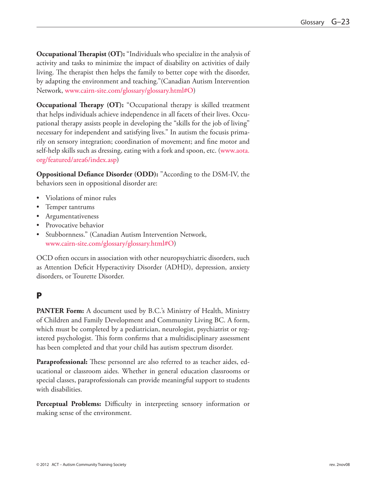**Occupational Therapist (OT):** "Individuals who specialize in the analysis of activity and tasks to minimize the impact of disability on activities of daily living. The therapist then helps the family to better cope with the disorder, by adapting the environment and teaching."(Canadian Autism Intervention Network, <www.cairn-site.com/glossary/glossary.html#O>)

**Occupational Therapy (OT):** "Occupational therapy is skilled treatment that helps individuals achieve independence in all facets of their lives. Occupational therapy assists people in developing the "skills for the job of living" necessary for independent and satisfying lives." In autism the focusis primarily on sensory integration; coordination of movement; and fine motor and self-help skills such as dressing, eating with a fork and spoon, etc. ([www.aota.](www.aota.org/featured/area6/index.asp) [org/featured/area6/index.asp](www.aota.org/featured/area6/index.asp))

**Oppositional Defiance Disorder (ODD):** "According to the DSM-IV, the behaviors seen in oppositional disorder are:

- Violations of minor rules
- Temper tantrums
- • Argumentativeness
- • Provocative behavior
- • Stubbornness." (Canadian Autism Intervention Network, www.cairn-site.com/glossary/glossary.html#O)

OCD often occurs in association with other neuropsychiatric disorders, such as Attention Deficit Hyperactivity Disorder (ADHD), depression, anxiety disorders, or Tourette Disorder.

#### P

**PANTER Form:** A document used by B.C.'s Ministry of Health, Ministry of Children and Family Development and Community Living BC. A form, which must be completed by a pediatrician, neurologist, psychiatrist or registered psychologist. This form confirms that a multidisciplinary assessment has been completed and that your child has autism spectrum disorder.

**Paraprofessional:** These personnel are also referred to as teacher aides, educational or classroom aides. Whether in general education classrooms or special classes, paraprofessionals can provide meaningful support to students with disabilities.

**Perceptual Problems:** Difficulty in interpreting sensory information or making sense of the environment.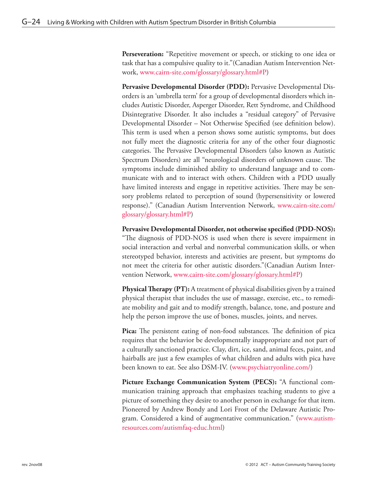**Perseveration:** "Repetitive movement or speech, or sticking to one idea or task that has a compulsive quality to it."(Canadian Autism Intervention Network, [www.cairn-site.com/glossary/glossary.html#P\)](www.cairn-site.com/glossary/glossary.html#P)

**Pervasive Developmental Disorder (PDD):** Pervasive Developmental Disorders is an 'umbrella term' for a group of developmental disorders which includes Autistic Disorder, Asperger Disorder, Rett Syndrome, and Childhood Disintegrative Disorder. It also includes a "residual category" of Pervasive Developmental Disorder – Not Otherwise Specified (see definition below). This term is used when a person shows some autistic symptoms, but does not fully meet the diagnostic criteria for any of the other four diagnostic categories. The Pervasive Developmental Disorders (also known as Autistic Spectrum Disorders) are all "neurological disorders of unknown cause. The symptoms include diminished ability to understand language and to communicate with and to interact with others. Children with a PDD usually have limited interests and engage in repetitive activities. There may be sensory problems related to perception of sound (hypersensitivity or lowered response)." (Canadian Autism Intervention Network, www.cairn-site.com/ glossary/glossary.html#P)

**Pervasive Developmental Disorder, not otherwise specified (PDD-NOS):** "The diagnosis of PDD-NOS is used when there is severe impairment in social interaction and verbal and nonverbal communication skills, or when stereotyped behavior, interests and activities are present, but symptoms do not meet the criteria for other autistic disorders."(Canadian Autism Intervention Network, www.cairn-site.com/glossary/glossary.html#P)

**Physical Therapy (PT):** A treatment of physical disabilities given by a trained physical therapist that includes the use of massage, exercise, etc., to remediate mobility and gait and to modify strength, balance, tone, and posture and help the person improve the use of bones, muscles, joints, and nerves.

**Pica:** The persistent eating of non-food substances. The definition of pica requires that the behavior be developmentally inappropriate and not part of a culturally sanctioned practice. Clay, dirt, ice, sand, animal feces, paint, and hairballs are just a few examples of what children and adults with pica have been known to eat. See also DSM-IV. (<www.psychiatryonline.com/>)

**Picture Exchange Communication System (PECS):** "A functional communication training approach that emphasizes teaching students to give a picture of something they desire to another person in exchange for that item. Pioneered by Andrew Bondy and Lori Frost of the Delaware Autistic Program. Considered a kind of augmentative communication." [\(www.autism](www.autism-resources.com/autismfaq-educ.html)[resources.com/autismfaq-educ.html](www.autism-resources.com/autismfaq-educ.html))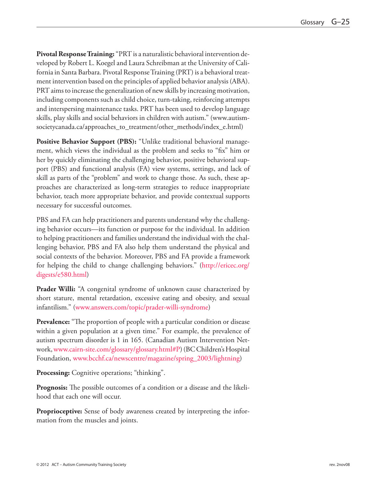**Pivotal Response Training:** "PRT is a naturalistic behavioral intervention developed by Robert L. Koegel and Laura Schreibman at the University of California in Santa Barbara. Pivotal Response Training (PRT) is a behavioral treatment intervention based on the principles of applied behavior analysis (ABA). PRT aims to increase the generalization of new skills by increasing motivation, including components such as child choice, turn-taking, reinforcing attempts and interspersing maintenance tasks. PRT has been used to develop language skills, play skills and social behaviors in children with autism." (www.autismsocietycanada.ca/approaches\_to\_treatment/other\_methods/index\_e.html)

**Positive Behavior Support (PBS):** "Unlike traditional behavioral management, which views the individual as the problem and seeks to "fix" him or her by quickly eliminating the challenging behavior, positive behavioral support (PBS) and functional analysis (FA) view systems, settings, and lack of skill as parts of the "problem" and work to change those. As such, these approaches are characterized as long-term strategies to reduce inappropriate behavior, teach more appropriate behavior, and provide contextual supports necessary for successful outcomes.

PBS and FA can help practitioners and parents understand why the challenging behavior occurs—its function or purpose for the individual. In addition to helping practitioners and families understand the individual with the challenging behavior, PBS and FA also help them understand the physical and social contexts of the behavior. Moreover, PBS and FA provide a framework for helping the child to change challenging behaviors." [\(http://ericec.org/](http://ericec.org/digests/e580.html) [digests/e580.html\)](http://ericec.org/digests/e580.html)

**Prader Willi:** "A congenital syndrome of unknown cause characterized by short stature, mental retardation, excessive eating and obesity, and sexual infantilism." [\(www.answers.com/topic/prader-willi-syndrome\)](www.answers.com/topic/prader-willi-syndrome)

**Prevalence:** "The proportion of people with a particular condition or disease within a given population at a given time." For example, the prevalence of autism spectrum disorder is 1 in 165. (Canadian Autism Intervention Network,<www.cairn-site.com/glossary/glossary.html#P>) (BC Children's Hospital Foundation, [www.bcchf.ca/newscentre/magazine/spring\\_2003/lightning\)](www.bcchf.ca/newscentre/magazine/spring_2003/lightning)

**Processing:** Cognitive operations; "thinking".

**Prognosis:** The possible outcomes of a condition or a disease and the likelihood that each one will occur.

**Proprioceptive:** Sense of body awareness created by interpreting the information from the muscles and joints.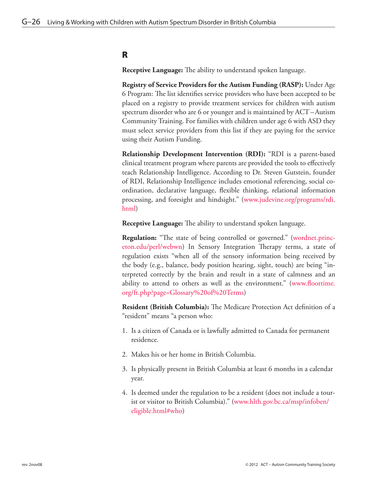#### R

**Receptive Language:** The ability to understand spoken language.

**Registry of Service Providers for the Autism Funding (RASP):** Under Age 6 Program: The list identifies service providers who have been accepted to be placed on a registry to provide treatment services for children with autism spectrum disorder who are 6 or younger and is maintained by ACT–Autism Community Training. For families with children under age 6 with ASD they must select service providers from this list if they are paying for the service using their Autism Funding.

**Relationship Development Intervention (RDI):** "RDI is a parent-based clinical treatment program where parents are provided the tools to effectively teach Relationship Intelligence. According to Dr. Steven Gutstein, founder of RDI, Relationship Intelligence includes emotional referencing, social coordination, declarative language, flexible thinking, relational information processing, and foresight and hindsight." [\(www.judevine.org/programs/rdi.](www.judevine.org/programs/rdi.html) [html](www.judevine.org/programs/rdi.html))

**Receptive Language:** The ability to understand spoken language.

**Regulation:** "The state of being controlled or governed." [\(wordnet.princ](wordnet.princeton.edu/perl/webwn)[eton.edu/perl/webwn\)](wordnet.princeton.edu/perl/webwn) In Sensory Integration Therapy terms, a state of regulation exists "when all of the sensory information being received by the body (e.g., balance, body position hearing, sight, touch) are being "interpreted correctly by the brain and result in a state of calmness and an ability to attend to others as well as the environment." [\(www.floortime.](www.floortime.org/ft.php?page=Glossary%20of%20Terms) [org/ft.php?page=Glossary%20of%20Terms](www.floortime.org/ft.php?page=Glossary%20of%20Terms))

**Resident (British Columbia):** The Medicare Protection Act definition of a "resident" means "a person who:

- 1. Is a citizen of Canada or is lawfully admitted to Canada for permanent residence.
- 2. Makes his or her home in British Columbia.
- 3. Is physically present in British Columbia at least 6 months in a calendar year.
- 4. Is deemed under the regulation to be a resident (does not include a tourist or visitor to British Columbia)." [\(www.hlth.gov.bc.ca/msp/infoben/](www.hlth.gov.bc.ca/msp/infoben/eligible.html#who) [eligible.html#who](www.hlth.gov.bc.ca/msp/infoben/eligible.html#who))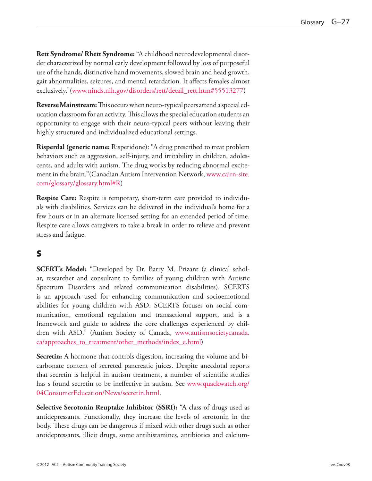**Rett Syndrome/ Rhett Syndrome:** "A childhood neurodevelopmental disorder characterized by normal early development followed by loss of purposeful use of the hands, distinctive hand movements, slowed brain and head growth, gait abnormalities, seizures, and mental retardation. It affects females almost exclusively."([www.ninds.nih.gov/disorders/rett/detail\\_rett.htm#55513277\)](www.ninds.nih.gov/disorders/rett/detail_rett.htm#55513277)

**Reverse Mainstream:** This occurs when neuro-typical peers attend a special education classroom for an activity. This allows the special education students an opportunity to engage with their neuro-typical peers without leaving their highly structured and individualized educational settings.

**Risperdal (generic name:** Risperidone): "A drug prescribed to treat problem behaviors such as aggression, self-injury, and irritability in children, adolescents, and adults with autism. The drug works by reducing abnormal excitement in the brain."(Canadian Autism Intervention Network, [www.cairn-site.](www.cairn-site.com/glossary/glossary.html#R) [com/glossary/glossary.html#R](www.cairn-site.com/glossary/glossary.html#R))

**Respite Care:** Respite is temporary, short-term care provided to individuals with disabilities. Services can be delivered in the individual's home for a few hours or in an alternate licensed setting for an extended period of time. Respite care allows caregivers to take a break in order to relieve and prevent stress and fatigue.

# S

**SCERT's Model:** "Developed by Dr. Barry M. Prizant (a clinical scholar, researcher and consultant to families of young children with Autistic Spectrum Disorders and related communication disabilities). SCERTS is an approach used for enhancing communication and socioemotional abilities for young children with ASD. SCERTS focuses on social communication, emotional regulation and transactional support, and is a framework and guide to address the core challenges experienced by children with ASD." (Autism Society of Canada, [www.autismsocietycanada.](www.autismsocietycanada.ca/approaches_to_treatment/other_methods/index_e.html) [ca/approaches\\_to\\_treatment/other\\_methods/index\\_e.html\)](www.autismsocietycanada.ca/approaches_to_treatment/other_methods/index_e.html)

**Secretin:** A hormone that controls digestion, increasing the volume and bicarbonate content of secreted pancreatic juices. Despite anecdotal reports that secretin is helpful in autism treatment, a number of scientific studies has s found secretin to be ineffective in autism. See [www.quackwatch.org/](www.quackwatch.org/04ConsumerEducation/News/secretin.html) [04ConsumerEducation/News/secretin.html](www.quackwatch.org/04ConsumerEducation/News/secretin.html).

**Selective Serotonin Reuptake Inhibitor (SSRI):** "A class of drugs used as antidepressants. Functionally, they increase the levels of serotonin in the body. These drugs can be dangerous if mixed with other drugs such as other antidepressants, illicit drugs, some antihistamines, antibiotics and calcium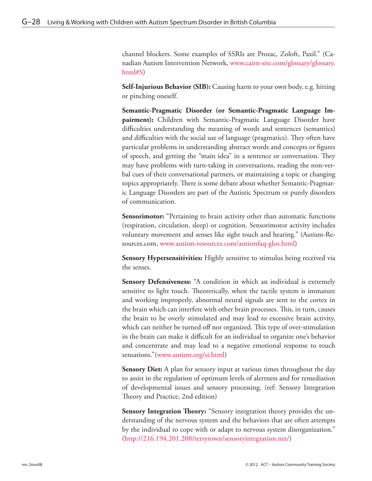channel blockers. Some examples of SSRIs are Prozac, Zoloft, Paxil." (Canadian Autism Intervention Network, [www.cairn-site.com/glossary/glossary.](www.cairn-site.com/glossary/glossary.html#S) [html#S](www.cairn-site.com/glossary/glossary.html#S))

**Self-Injurious Behavior (SIB):** Causing harm to your own body, e.g. hitting or pinching oneself.

**Semantic-Pragmatic Disorder (or Semantic-Pragmatic Language Impairment):** Children with Semantic-Pragmatic Language Disorder have difficulties understanding the meaning of words and sentences (semantics) and difficulties with the social use of language (pragmatics). They often have particular problems in understanding abstract words and concepts or figures of speech, and getting the "main idea" in a sentence or conversation. They may have problems with turn-taking in conversations, reading the non-verbal cues of their conversational partners, or maintaining a topic or changing topics appropriately. There is some debate about whether Semantic-Pragmatic Language Disorders are part of the Autistic Spectrum or purely disorders of communication.

**Sensorimotor:** "Pertaining to brain activity other than automatic functions (respiration, circulation, sleep) or cognition. Sensorimotor activity includes voluntary movement and senses like sight touch and hearing." (Autism-Resources.com,<www.autism-resources.com/autismfaq-glos.html>)

**Sensory Hypersensitivities:** Highly sensitive to stimulus being received via the senses.

**Sensory Defensiveness:** "A condition in which an individual is extremely sensitive to light touch. Theoretically, when the tactile system is immature and working improperly, abnormal neural signals are sent to the cortex in the brain which can interfere with other brain processes. This, in turn, causes the brain to be overly stimulated and may lead to excessive brain activity, which can neither be turned off nor organized. This type of over-stimulation in the brain can make it difficult for an individual to organize one's behavior and concentrate and may lead to a negative emotional response to touch sensations."[\(www.autism.org/si.html\)](www.autism.org/si.html)

**Sensory Diet:** A plan for sensory input at various times throughout the day to assist in the regulation of optimum levels of alertness and for remediation of developmental issues and sensory processing. (ref: Sensory Integration Theory and Practice, 2nd edition)

**Sensory Integration Theory:** "Sensory integration theory provides the understanding of the nervous system and the behaviors that are often attempts by the individual to cope with or adapt to nervous system disorganization." (<http://216.194.201.208/terrytown/sensoryintegration.net/>)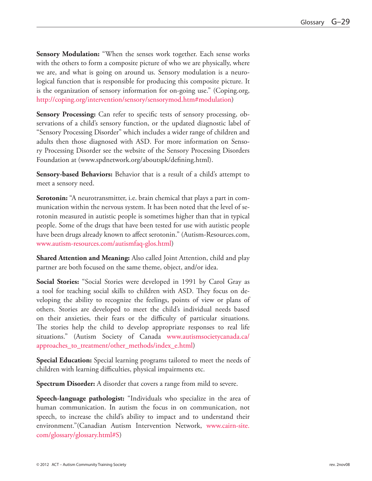**Sensory Modulation:** "When the senses work together. Each sense works with the others to form a composite picture of who we are physically, where we are, and what is going on around us. Sensory modulation is a neurological function that is responsible for producing this composite picture. It is the organization of sensory information for on-going use." (Coping.org, <http://coping.org/intervention/sensory/sensorymod.htm#modulation>)

**Sensory Processing:** Can refer to specific tests of sensory processing, observations of a child's sensory function, or the updated diagnostic label of "Sensory Processing Disorder" which includes a wider range of children and adults then those diagnosed with ASD. For more information on Sensory Processing Disorder see the website of the Sensory Processing Disorders Foundation at (www.spdnetwork.org/aboutspk/defining.html).

**Sensory-based Behaviors:** Behavior that is a result of a child's attempt to meet a sensory need.

**Serotonin:** "A neurotransmitter, i.e. brain chemical that plays a part in communication within the nervous system. It has been noted that the level of serotonin measured in autistic people is sometimes higher than that in typical people. Some of the drugs that have been tested for use with autistic people have been drugs already known to affect serotonin." (Autism-Resources.com, <www.autism-resources.com/autismfaq-glos.html>)

**Shared Attention and Meaning:** Also called Joint Attention, child and play partner are both focused on the same theme, object, and/or idea.

**Social Stories:** "Social Stories were developed in 1991 by Carol Gray as a tool for teaching social skills to children with ASD. They focus on developing the ability to recognize the feelings, points of view or plans of others. Stories are developed to meet the child's individual needs based on their anxieties, their fears or the difficulty of particular situations. The stories help the child to develop appropriate responses to real life situations." (Autism Society of Canada [www.autismsocietycanada.ca/](www.autismsocietycanada.ca/approaches_to_treatment/other_methods/index_e.html) [approaches\\_to\\_treatment/other\\_methods/index\\_e.html](www.autismsocietycanada.ca/approaches_to_treatment/other_methods/index_e.html))

**Special Education:** Special learning programs tailored to meet the needs of children with learning difficulties, physical impairments etc.

**Spectrum Disorder:** A disorder that covers a range from mild to severe.

**Speech-language pathologist:** "Individuals who specialize in the area of human communication. In autism the focus in on communication, not speech, to increase the child's ability to impact and to understand their environment."(Canadian Autism Intervention Network, [www.cairn-site.](www.cairn-site.com/glossary/glossary.html#S) [com/glossary/glossary.html#S](www.cairn-site.com/glossary/glossary.html#S))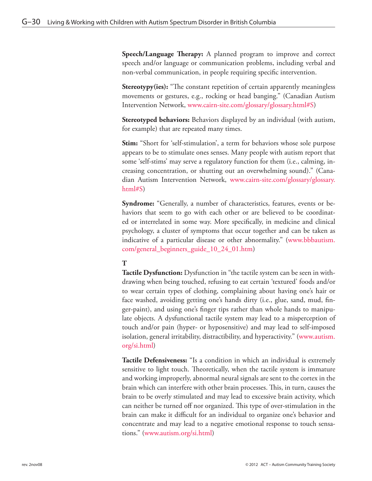**Speech/Language Therapy:** A planned program to improve and correct speech and/or language or communication problems, including verbal and non-verbal communication, in people requiring specific intervention.

**Stereotypy(ies):** "The constant repetition of certain apparently meaningless movements or gestures, e.g., rocking or head banging." (Canadian Autism Intervention Network, <www.cairn-site.com/glossary/glossary.html#S>)

**Stereotyped behaviors:** Behaviors displayed by an individual (with autism, for example) that are repeated many times.

**Stim:** "Short for 'self-stimulation', a term for behaviors whose sole purpose appears to be to stimulate ones senses. Many people with autism report that some 'self-stims' may serve a regulatory function for them (i.e., calming, increasing concentration, or shutting out an overwhelming sound)." (Canadian Autism Intervention Network, [www.cairn-site.com/glossary/glossary.](www.cairn-site.com/glossary/glossary.html#S) [html#S](www.cairn-site.com/glossary/glossary.html#S))

**Syndrome:** "Generally, a number of characteristics, features, events or behaviors that seem to go with each other or are believed to be coordinated or interrelated in some way. More specifically, in medicine and clinical psychology, a cluster of symptoms that occur together and can be taken as indicative of a particular disease or other abnormality." [\(www.bbbautism.](www.bbbautism.com/general_beginners_guide_10_24_01.htm) [com/general\\_beginners\\_guide\\_10\\_24\\_01.htm](www.bbbautism.com/general_beginners_guide_10_24_01.htm))

#### **T**

**Tactile Dysfunction:** Dysfunction in "the tactile system can be seen in withdrawing when being touched, refusing to eat certain 'textured' foods and/or to wear certain types of clothing, complaining about having one's hair or face washed, avoiding getting one's hands dirty (i.e., glue, sand, mud, finger-paint), and using one's finger tips rather than whole hands to manipulate objects. A dysfunctional tactile system may lead to a misperception of touch and/or pain (hyper- or hyposensitive) and may lead to self-imposed isolation, general irritability, distractibility, and hyperactivity." [\(www.autism.](www.autism.org/si.html) [org/si.html](www.autism.org/si.html))

**Tactile Defensiveness:** "Is a condition in which an individual is extremely sensitive to light touch. Theoretically, when the tactile system is immature and working improperly, abnormal neural signals are sent to the cortex in the brain which can interfere with other brain processes. This, in turn, causes the brain to be overly stimulated and may lead to excessive brain activity, which can neither be turned off nor organized. This type of over-stimulation in the brain can make it difficult for an individual to organize one's behavior and concentrate and may lead to a negative emotional response to touch sensations." (<www.autism.org/si.html>)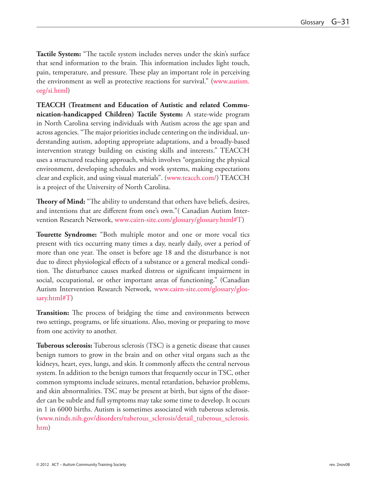**Tactile System:** "The tactile system includes nerves under the skin's surface that send information to the brain. This information includes light touch, pain, temperature, and pressure. These play an important role in perceiving the environment as well as protective reactions for survival." [\(www.autism.](www.autism.org/si.html) [org/si.html](www.autism.org/si.html))

**TEACCH (Treatment and Education of Autistic and related Communication-handicapped Children) Tactile System:** A state-wide program in North Carolina serving individuals with Autism across the age span and across agencies. "The major priorities include centering on the individual, understanding autism, adopting appropriate adaptations, and a broadly-based intervention strategy building on existing skills and interests." TEACCH uses a structured teaching approach, which involves "organizing the physical environment, developing schedules and work systems, making expectations clear and explicit, and using visual materials". (<www.teacch.com/>) TEACCH is a project of the University of North Carolina.

**Theory of Mind:** "The ability to understand that others have beliefs, desires, and intentions that are different from one's own."( Canadian Autism Intervention Research Network, <www.cairn-site.com/glossary/glossary.html#T>)

**Tourette Syndrome:** "Both multiple motor and one or more vocal tics present with tics occurring many times a day, nearly daily, over a period of more than one year. The onset is before age 18 and the disturbance is not due to direct physiological effects of a substance or a general medical condition. The disturbance causes marked distress or significant impairment in social, occupational, or other important areas of functioning." (Canadian Autism Intervention Research Network, [www.cairn-site.com/glossary/glos](www.cairn-site.com/glossary/glossary.html#T)[sary.html#T](www.cairn-site.com/glossary/glossary.html#T))

**Transition:** The process of bridging the time and environments between two settings, programs, or life situations. Also, moving or preparing to move from one activity to another.

**Tuberous sclerosis:** Tuberous sclerosis (TSC) is a genetic disease that causes benign tumors to grow in the brain and on other vital organs such as the kidneys, heart, eyes, lungs, and skin. It commonly affects the central nervous system. In addition to the benign tumors that frequently occur in TSC, other common symptoms include seizures, mental retardation, behavior problems, and skin abnormalities. TSC may be present at birth, but signs of the disorder can be subtle and full symptoms may take some time to develop. It occurs in 1 in 6000 births. Autism is sometimes associated with tuberous sclerosis. ([www.ninds.nih.gov/disorders/tuberous\\_sclerosis/detail\\_tuberous\\_sclerosis.](www.ninds.nih.gov/disorders/tuberous_sclerosis/detail_tuberous_sclerosis.htm) [htm](www.ninds.nih.gov/disorders/tuberous_sclerosis/detail_tuberous_sclerosis.htm))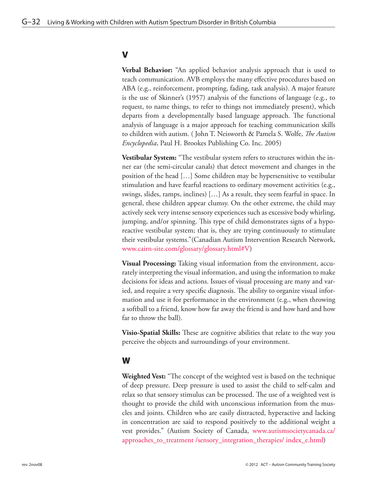#### V

**Verbal Behavior:** "An applied behavior analysis approach that is used to teach communication. AVB employs the many effective procedures based on ABA (e.g., reinforcement, prompting, fading, task analysis). A major feature is the use of Skinner's (1957) analysis of the functions of language (e.g., to request, to name things, to refer to things not immediately present), which departs from a developmentally based language approach. The functional analysis of language is a major approach for teaching communication skills to children with autism. ( John T. Neisworth & Pamela S. Wolfe, *The Autism Encyclopedia*, Paul H. Brookes Publishing Co. Inc. 2005)

**Vestibular System:** "The vestibular system refers to structures within the inner ear (the semi-circular canals) that detect movement and changes in the position of the head […] Some children may be hypersensitive to vestibular stimulation and have fearful reactions to ordinary movement activities (e.g., swings, slides, ramps, inclines) […] As a result, they seem fearful in space. In general, these children appear clumsy. On the other extreme, the child may actively seek very intense sensory experiences such as excessive body whirling, jumping, and/or spinning. This type of child demonstrates signs of a hyporeactive vestibular system; that is, they are trying continuously to stimulate their vestibular systems."(Canadian Autism Intervention Research Network, <www.cairn-site.com/glossary/glossary.html#V>)

**Visual Processing:** Taking visual information from the environment, accurately interpreting the visual information, and using the information to make decisions for ideas and actions. Issues of visual processing are many and varied, and require a very specific diagnosis. The ability to organize visual information and use it for performance in the environment (e.g., when throwing a softball to a friend, know how far away the friend is and how hard and how far to throw the ball).

**Visio-Spatial Skills:** These are cognitive abilities that relate to the way you perceive the objects and surroundings of your environment.

#### W

**Weighted Vest:** "The concept of the weighted vest is based on the technique of deep pressure. Deep pressure is used to assist the child to self-calm and relax so that sensory stimulus can be processed. The use of a weighted vest is thought to provide the child with unconscious information from the muscles and joints. Children who are easily distracted, hyperactive and lacking in concentration are said to respond positively to the additional weight a vest provides." (Autism Society of Canada, [www.autismsocietycanada.ca/](www.autismsocietycanada.ca/approaches_to_treatment /sensory_integration_therapies/ index_e.html) [approaches\\_to\\_treatment /sensory\\_integration\\_therapies/ index\\_e.html](www.autismsocietycanada.ca/approaches_to_treatment /sensory_integration_therapies/ index_e.html))